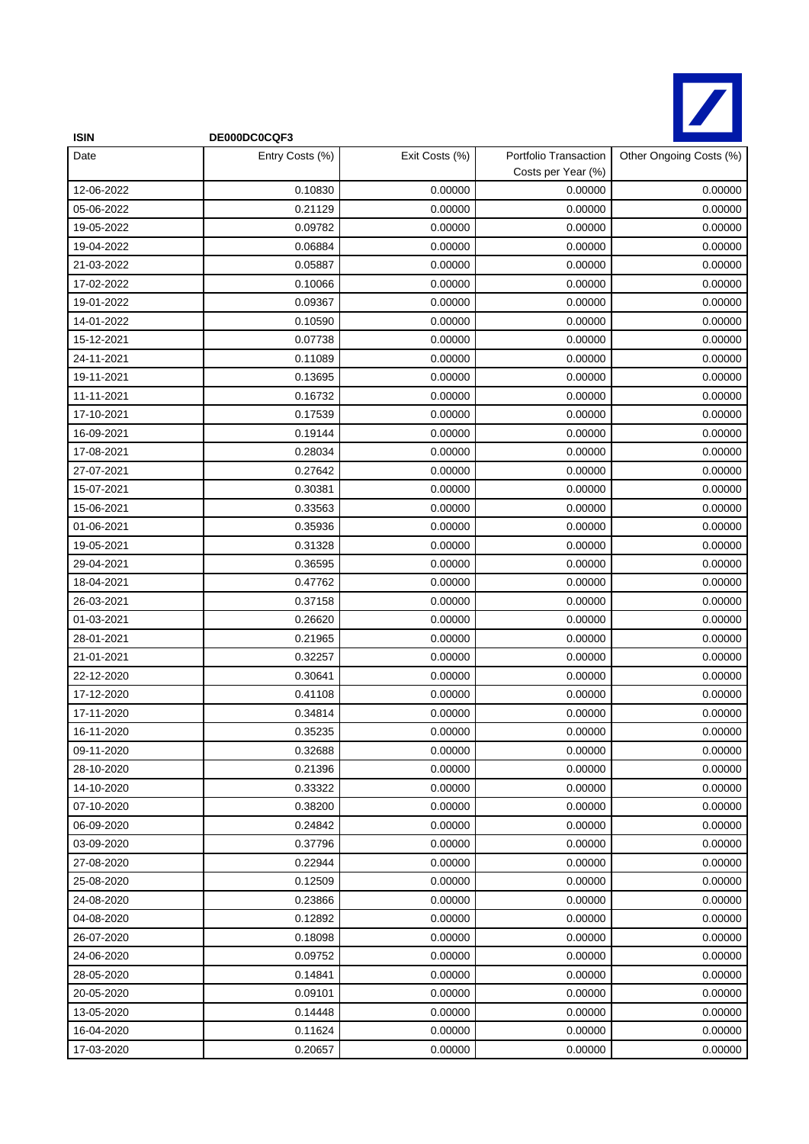

| <b>ISIN</b> | DE000DC0CQF3    |                |                                             |                         |
|-------------|-----------------|----------------|---------------------------------------------|-------------------------|
| Date        | Entry Costs (%) | Exit Costs (%) | Portfolio Transaction<br>Costs per Year (%) | Other Ongoing Costs (%) |
| 12-06-2022  | 0.10830         | 0.00000        | 0.00000                                     | 0.00000                 |
| 05-06-2022  | 0.21129         | 0.00000        | 0.00000                                     | 0.00000                 |
| 19-05-2022  | 0.09782         | 0.00000        | 0.00000                                     | 0.00000                 |
| 19-04-2022  | 0.06884         | 0.00000        | 0.00000                                     | 0.00000                 |
| 21-03-2022  | 0.05887         | 0.00000        | 0.00000                                     | 0.00000                 |
| 17-02-2022  | 0.10066         | 0.00000        | 0.00000                                     | 0.00000                 |
| 19-01-2022  | 0.09367         | 0.00000        | 0.00000                                     | 0.00000                 |
| 14-01-2022  | 0.10590         | 0.00000        | 0.00000                                     | 0.00000                 |
| 15-12-2021  | 0.07738         | 0.00000        | 0.00000                                     | 0.00000                 |
| 24-11-2021  | 0.11089         | 0.00000        | 0.00000                                     | 0.00000                 |
| 19-11-2021  | 0.13695         | 0.00000        | 0.00000                                     | 0.00000                 |
| 11-11-2021  | 0.16732         | 0.00000        | 0.00000                                     | 0.00000                 |
| 17-10-2021  | 0.17539         | 0.00000        | 0.00000                                     | 0.00000                 |
| 16-09-2021  | 0.19144         | 0.00000        | 0.00000                                     | 0.00000                 |
| 17-08-2021  | 0.28034         | 0.00000        | 0.00000                                     | 0.00000                 |
| 27-07-2021  | 0.27642         | 0.00000        | 0.00000                                     | 0.00000                 |
| 15-07-2021  | 0.30381         | 0.00000        | 0.00000                                     | 0.00000                 |
| 15-06-2021  | 0.33563         | 0.00000        | 0.00000                                     | 0.00000                 |
| 01-06-2021  | 0.35936         | 0.00000        | 0.00000                                     | 0.00000                 |
| 19-05-2021  | 0.31328         | 0.00000        | 0.00000                                     | 0.00000                 |
| 29-04-2021  | 0.36595         | 0.00000        | 0.00000                                     | 0.00000                 |
| 18-04-2021  | 0.47762         | 0.00000        | 0.00000                                     | 0.00000                 |
| 26-03-2021  | 0.37158         | 0.00000        | 0.00000                                     | 0.00000                 |
| 01-03-2021  | 0.26620         | 0.00000        | 0.00000                                     | 0.00000                 |
| 28-01-2021  | 0.21965         | 0.00000        | 0.00000                                     | 0.00000                 |
| 21-01-2021  | 0.32257         | 0.00000        | 0.00000                                     | 0.00000                 |
| 22-12-2020  | 0.30641         | 0.00000        | 0.00000                                     | 0.00000                 |
| 17-12-2020  | 0.41108         | 0.00000        | 0.00000                                     | 0.00000                 |
| 17-11-2020  | 0.34814         | 0.00000        | 0.00000                                     | 0.00000                 |
| 16-11-2020  | 0.35235         | 0.00000        | 0.00000                                     | 0.00000                 |
| 09-11-2020  | 0.32688         | 0.00000        | 0.00000                                     | 0.00000                 |
| 28-10-2020  | 0.21396         | 0.00000        | 0.00000                                     | 0.00000                 |
| 14-10-2020  | 0.33322         | 0.00000        | 0.00000                                     | 0.00000                 |
| 07-10-2020  | 0.38200         | 0.00000        | 0.00000                                     | 0.00000                 |
| 06-09-2020  | 0.24842         | 0.00000        | 0.00000                                     | 0.00000                 |
| 03-09-2020  | 0.37796         | 0.00000        | 0.00000                                     | 0.00000                 |
| 27-08-2020  | 0.22944         | 0.00000        | 0.00000                                     | 0.00000                 |
| 25-08-2020  | 0.12509         | 0.00000        | 0.00000                                     | 0.00000                 |
| 24-08-2020  | 0.23866         | 0.00000        | 0.00000                                     | 0.00000                 |
| 04-08-2020  | 0.12892         | 0.00000        | 0.00000                                     | 0.00000                 |
| 26-07-2020  | 0.18098         | 0.00000        | 0.00000                                     | 0.00000                 |
| 24-06-2020  | 0.09752         | 0.00000        | 0.00000                                     | 0.00000                 |
| 28-05-2020  | 0.14841         | 0.00000        | 0.00000                                     | 0.00000                 |
| 20-05-2020  | 0.09101         | 0.00000        | 0.00000                                     | 0.00000                 |
| 13-05-2020  | 0.14448         | 0.00000        | 0.00000                                     | 0.00000                 |
| 16-04-2020  | 0.11624         | 0.00000        | 0.00000                                     | 0.00000                 |
| 17-03-2020  | 0.20657         | 0.00000        | 0.00000                                     | 0.00000                 |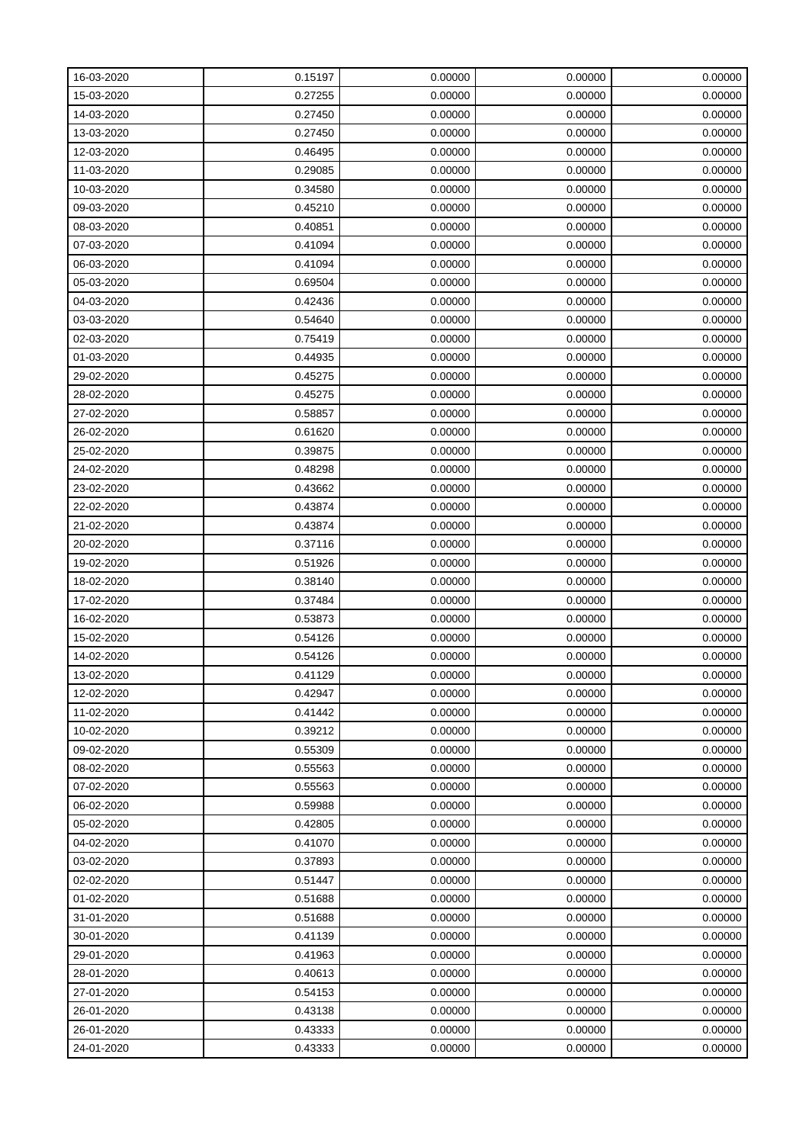| 16-03-2020 | 0.15197 | 0.00000 | 0.00000 | 0.00000 |
|------------|---------|---------|---------|---------|
| 15-03-2020 | 0.27255 | 0.00000 | 0.00000 | 0.00000 |
| 14-03-2020 | 0.27450 | 0.00000 | 0.00000 | 0.00000 |
| 13-03-2020 | 0.27450 | 0.00000 | 0.00000 | 0.00000 |
| 12-03-2020 | 0.46495 | 0.00000 | 0.00000 | 0.00000 |
| 11-03-2020 | 0.29085 | 0.00000 | 0.00000 | 0.00000 |
| 10-03-2020 | 0.34580 | 0.00000 | 0.00000 | 0.00000 |
| 09-03-2020 | 0.45210 | 0.00000 | 0.00000 | 0.00000 |
| 08-03-2020 | 0.40851 | 0.00000 | 0.00000 | 0.00000 |
| 07-03-2020 | 0.41094 | 0.00000 | 0.00000 | 0.00000 |
| 06-03-2020 | 0.41094 | 0.00000 | 0.00000 | 0.00000 |
| 05-03-2020 | 0.69504 | 0.00000 | 0.00000 | 0.00000 |
| 04-03-2020 | 0.42436 | 0.00000 | 0.00000 | 0.00000 |
| 03-03-2020 | 0.54640 | 0.00000 | 0.00000 | 0.00000 |
| 02-03-2020 | 0.75419 | 0.00000 | 0.00000 | 0.00000 |
| 01-03-2020 | 0.44935 | 0.00000 | 0.00000 | 0.00000 |
| 29-02-2020 | 0.45275 | 0.00000 | 0.00000 | 0.00000 |
| 28-02-2020 | 0.45275 | 0.00000 | 0.00000 | 0.00000 |
| 27-02-2020 | 0.58857 | 0.00000 | 0.00000 | 0.00000 |
| 26-02-2020 | 0.61620 | 0.00000 | 0.00000 | 0.00000 |
| 25-02-2020 | 0.39875 | 0.00000 | 0.00000 | 0.00000 |
| 24-02-2020 | 0.48298 | 0.00000 | 0.00000 | 0.00000 |
| 23-02-2020 | 0.43662 | 0.00000 | 0.00000 | 0.00000 |
| 22-02-2020 | 0.43874 | 0.00000 | 0.00000 | 0.00000 |
| 21-02-2020 | 0.43874 | 0.00000 | 0.00000 | 0.00000 |
| 20-02-2020 | 0.37116 | 0.00000 | 0.00000 | 0.00000 |
| 19-02-2020 | 0.51926 | 0.00000 | 0.00000 | 0.00000 |
| 18-02-2020 | 0.38140 | 0.00000 | 0.00000 | 0.00000 |
| 17-02-2020 | 0.37484 | 0.00000 | 0.00000 | 0.00000 |
| 16-02-2020 | 0.53873 | 0.00000 | 0.00000 | 0.00000 |
| 15-02-2020 | 0.54126 | 0.00000 | 0.00000 | 0.00000 |
| 14-02-2020 | 0.54126 | 0.00000 | 0.00000 | 0.00000 |
| 13-02-2020 | 0.41129 | 0.00000 | 0.00000 | 0.00000 |
| 12-02-2020 | 0.42947 | 0.00000 | 0.00000 | 0.00000 |
| 11-02-2020 | 0.41442 | 0.00000 | 0.00000 | 0.00000 |
| 10-02-2020 | 0.39212 | 0.00000 | 0.00000 | 0.00000 |
| 09-02-2020 | 0.55309 | 0.00000 | 0.00000 | 0.00000 |
| 08-02-2020 | 0.55563 | 0.00000 | 0.00000 | 0.00000 |
| 07-02-2020 | 0.55563 | 0.00000 | 0.00000 | 0.00000 |
| 06-02-2020 | 0.59988 | 0.00000 | 0.00000 | 0.00000 |
| 05-02-2020 | 0.42805 | 0.00000 | 0.00000 | 0.00000 |
| 04-02-2020 | 0.41070 | 0.00000 | 0.00000 | 0.00000 |
| 03-02-2020 | 0.37893 | 0.00000 | 0.00000 | 0.00000 |
| 02-02-2020 | 0.51447 | 0.00000 | 0.00000 | 0.00000 |
| 01-02-2020 | 0.51688 | 0.00000 | 0.00000 | 0.00000 |
| 31-01-2020 | 0.51688 | 0.00000 | 0.00000 | 0.00000 |
| 30-01-2020 | 0.41139 | 0.00000 | 0.00000 | 0.00000 |
| 29-01-2020 | 0.41963 | 0.00000 | 0.00000 | 0.00000 |
| 28-01-2020 | 0.40613 | 0.00000 | 0.00000 | 0.00000 |
| 27-01-2020 | 0.54153 | 0.00000 | 0.00000 | 0.00000 |
| 26-01-2020 | 0.43138 | 0.00000 | 0.00000 | 0.00000 |
| 26-01-2020 | 0.43333 | 0.00000 | 0.00000 | 0.00000 |
| 24-01-2020 | 0.43333 | 0.00000 | 0.00000 | 0.00000 |